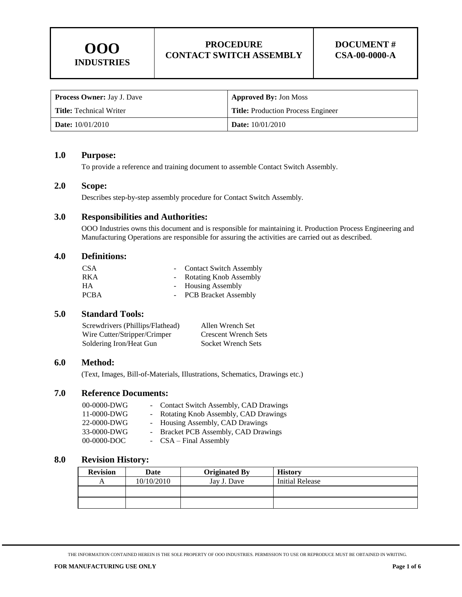| <b>Process Owner:</b> Jay J. Dave | <b>Approved By: Jon Moss</b>              |  |
|-----------------------------------|-------------------------------------------|--|
| <b>Title:</b> Technical Writer    | <b>Title:</b> Production Process Engineer |  |
| Date: $10/01/2010$                | <b>Date:</b> $10/01/2010$                 |  |

#### **1.0 Purpose:**

To provide a reference and training document to assemble Contact Switch Assembly.

#### **2.0 Scope:**

Describes step-by-step assembly procedure for Contact Switch Assembly.

## **3.0 Responsibilities and Authorities:**

OOO Industries owns this document and is responsible for maintaining it. Production Process Engineering and Manufacturing Operations are responsible for assuring the activities are carried out as described.

#### **4.0 Definitions:**

| - Contact Switch Assembly |
|---------------------------|
| - Rotating Knob Assembly  |
| - Housing Assembly        |
| - PCB Bracket Assembly    |
|                           |

## **5.0 Standard Tools:**

| Screwdrivers (Phillips/Flathead) | Allen Wrench Set            |
|----------------------------------|-----------------------------|
| Wire Cutter/Stripper/Crimper     | <b>Crescent Wrench Sets</b> |
| Soldering Iron/Heat Gun          | Socket Wrench Sets          |

#### **6.0 Method:**

(Text, Images, Bill-of-Materials, Illustrations, Schematics, Drawings etc.)

## **7.0 Reference Documents:**

| $00-0000-DWG$ |  | - Contact Switch Assembly, CAD Drawings |
|---------------|--|-----------------------------------------|
| 11-0000-DWG   |  | - Rotating Knob Assembly, CAD Drawings  |
| 22-0000-DWG   |  | - Housing Assembly, CAD Drawings        |
| 33-0000-DWG   |  | - Bracket PCB Assembly, CAD Drawings    |
| 00-0000-DOC   |  | - CSA – Final Assembly                  |

#### **8.0 Revision History:**

| <b>Revision</b> | Date       | <b>Originated By</b> | <b>History</b>         |
|-----------------|------------|----------------------|------------------------|
|                 | 10/10/2010 | Jay J. Dave          | <b>Initial Release</b> |
|                 |            |                      |                        |
|                 |            |                      |                        |

THE INFORMATION CONTAINED HEREIN IS THE SOLE PROPERTY OF OOO INDUSTRIES. PERMISSION TO USE OR REPRODUCE MUST BE OBTAINED IN WRITING.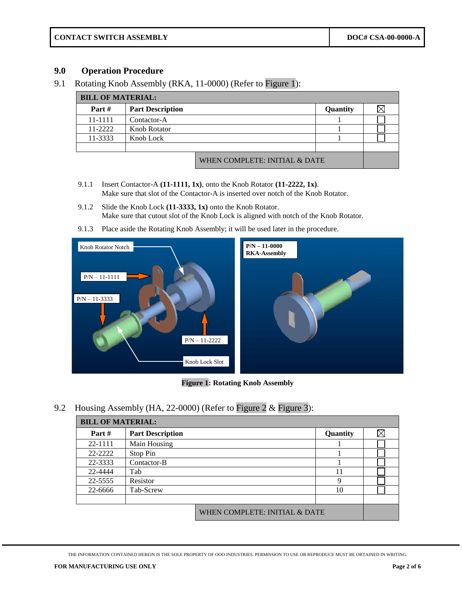**CONTACT SWITCH ASSEMBLY DOC# CSA-00-0000-A**

# **9.0 Operation Procedure**

9.1 Rotating Knob Assembly (RKA, 11-0000) (Refer to [Figure 1\)](#page-1-0):

| <b>BILL OF MATERIAL:</b> |                         |                               |          |  |  |
|--------------------------|-------------------------|-------------------------------|----------|--|--|
| Part $#$                 | <b>Part Description</b> |                               | Quantity |  |  |
| 11-1111                  | Contactor-A             |                               |          |  |  |
| $11 - 2222$              | <b>Knob Rotator</b>     |                               |          |  |  |
| 11-3333                  | Knob Lock               |                               |          |  |  |
|                          |                         |                               |          |  |  |
|                          |                         | WHEN COMPLETE: INITIAL & DATE |          |  |  |

- 9.1.1 Insert Contactor-A **(11-1111, 1x)**, onto the Knob Rotator **(11-2222, 1x)**. Make sure that slot of the Contactor-A is inserted over notch of the Knob Rotator.
- 9.1.2 Slide the Knob Lock **(11-3333, 1x)** onto the Knob Rotator. Make sure that cutout slot of the Knob Lock is aligned with notch of the Knob Rotator.
- 9.1.3 Place aside the Rotating Knob Assembly; it will be used later in the procedure.



**Figure 1: Rotating Knob Assembly**

<span id="page-1-0"></span>9.2 Housing Assembly (HA, 22-0000) (Refer to [Figure 2](#page-2-0) & [Figure 3\)](#page-3-0):

| <b>BILL OF MATERIAL:</b> |                         |                               |          |  |
|--------------------------|-------------------------|-------------------------------|----------|--|
| Part $#$                 | <b>Part Description</b> |                               | Quantity |  |
| 22-1111                  | Main Housing            |                               |          |  |
| 22-2222                  | Stop Pin                |                               |          |  |
| 22-3333                  | Contactor-B             |                               |          |  |
| 22-4444                  | Tab                     |                               | 11       |  |
| 22-5555                  | Resistor                |                               | 9        |  |
| 22-6666                  | Tab-Screw               |                               | 10       |  |
|                          |                         |                               |          |  |
|                          |                         | WHEN COMPLETE: INITIAL & DATE |          |  |

THE INFORMATION CONTAINED HEREIN IS THE SOLE PROPERTY OF OOO INDUSTRIES. PERMISSION TO USE OR REPRODUCE MUST BE OBTAINED IN WRITING.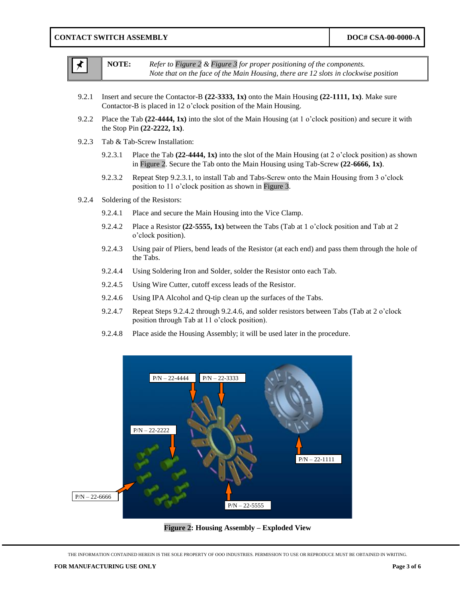<span id="page-2-2"></span><span id="page-2-1"></span>

|       | NOTE:   | Refer to Figure 2 & Figure 3 for proper positioning of the components.<br>Note that on the face of the Main Housing, there are 12 slots in clockwise position                           |
|-------|---------|-----------------------------------------------------------------------------------------------------------------------------------------------------------------------------------------|
| 9.2.1 |         | Insert and secure the Contactor-B $(22-3333, 1x)$ onto the Main Housing $(22-1111, 1x)$ . Make sure<br>Contactor-B is placed in 12 o'clock position of the Main Housing.                |
| 9.2.2 |         | Place the Tab $(22-4444, 1x)$ into the slot of the Main Housing (at 1 o'clock position) and secure it with<br>the Stop Pin (22-2222, 1x).                                               |
| 9.2.3 |         | Tab & Tab-Screw Installation:                                                                                                                                                           |
|       | 9.2.3.1 | Place the Tab $(22-4444, 1x)$ into the slot of the Main Housing (at 2 o'clock position) as shown<br>in Figure 2. Secure the Tab onto the Main Housing using Tab-Screw $(22-6666, 1x)$ . |
|       | 9.2.3.2 | Repeat Step 9.2.3.1, to install Tab and Tabs-Screw onto the Main Housing from 3 o'clock<br>position to 11 o'clock position as shown in Figure 3.                                        |
| 9.2.4 |         | Soldering of the Resistors:                                                                                                                                                             |
|       | 9.2.4.1 | Place and secure the Main Housing into the Vice Clamp.                                                                                                                                  |
|       | 9.2.4.2 | Place a Resistor (22-5555, 1x) between the Tabs (Tab at 1 o'clock position and Tab at 2<br>o'clock position).                                                                           |
|       | 9.2.4.3 | Using pair of Pliers, bend leads of the Resistor (at each end) and pass them through the hole of<br>the Tabs.                                                                           |
|       | 9.2.4.4 | Using Soldering Iron and Solder, solder the Resistor onto each Tab.                                                                                                                     |
|       | 9.2.4.5 | Using Wire Cutter, cutoff excess leads of the Resistor.                                                                                                                                 |
|       | 9.2.4.6 | Using IPA Alcohol and Q-tip clean up the surfaces of the Tabs.                                                                                                                          |
|       | 9.2.4.7 | Repeat Steps 9.2.4.2 through 9.2.4.6, and solder resistors between Tabs (Tab at 2 o'clock<br>position through Tab at 11 o'clock position).                                              |
|       | 9.2.4.8 | Place aside the Housing Assembly; it will be used later in the procedure.                                                                                                               |
|       |         | $P/N - 22 - 3333$<br>$P/N - 22 - 4444$<br>$P/N - 22 - 2222$                                                                                                                             |

**Figure 2: Housing Assembly – Exploded View**

 $P/N - 22 - 5555$ 

P/N – 22-1111

<span id="page-2-0"></span>THE INFORMATION CONTAINED HEREIN IS THE SOLE PROPERTY OF OOO INDUSTRIES. PERMISSION TO USE OR REPRODUCE MUST BE OBTAINED IN WRITING.

<span id="page-2-3"></span>P/N – 22-6666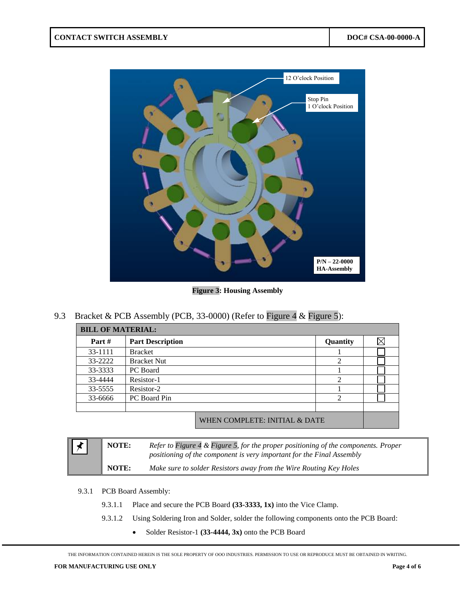

**Figure 3: Housing Assembly** 

<span id="page-3-0"></span>9.3 Bracket & PCB Assembly (PCB, 33-0000) (Refer to [Figure 4](#page-4-0) & [Figure 5\)](#page-4-1):

| <b>BILL OF MATERIAL:</b> |                         |                               |                |  |
|--------------------------|-------------------------|-------------------------------|----------------|--|
| Part #                   | <b>Part Description</b> |                               | Quantity       |  |
| 33-1111                  | <b>Bracket</b>          |                               |                |  |
| 33-2222                  | <b>Bracket Nut</b>      |                               | ာ              |  |
| 33-3333                  | PC Board                |                               |                |  |
| 33-4444                  | Resistor-1              |                               | $\mathfrak{D}$ |  |
| 33-5555                  | Resistor-2              |                               |                |  |
| 33-6666                  | PC Board Pin            |                               | ി              |  |
|                          |                         |                               |                |  |
|                          |                         | WHEN COMPLETE: INITIAL & DATE |                |  |

| $\bigstar$ | <b>NOTE:</b> | Refer to Figure 4 & Figure 5, for the proper positioning of the components. Proper<br>positioning of the component is very important for the Final Assembly |
|------------|--------------|-------------------------------------------------------------------------------------------------------------------------------------------------------------|
|            | <b>NOTE:</b> | Make sure to solder Resistors away from the Wire Routing Key Holes                                                                                          |

- 9.3.1 PCB Board Assembly:
	- 9.3.1.1 Place and secure the PCB Board **(33-3333, 1x)** into the Vice Clamp.
	- 9.3.1.2 Using Soldering Iron and Solder, solder the following components onto the PCB Board:
		- Solder Resistor-1 **(33-4444, 3x)** onto the PCB Board

THE INFORMATION CONTAINED HEREIN IS THE SOLE PROPERTY OF OOO INDUSTRIES. PERMISSION TO USE OR REPRODUCE MUST BE OBTAINED IN WRITING.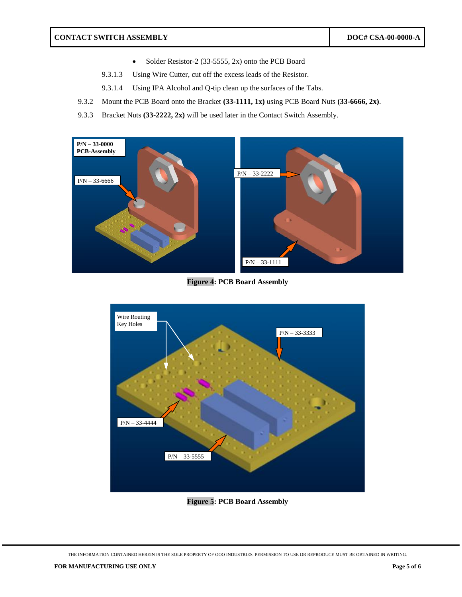- Solder Resistor-2 (33-5555, 2x) onto the PCB Board
- 9.3.1.3 Using Wire Cutter, cut off the excess leads of the Resistor.
- 9.3.1.4 Using IPA Alcohol and Q-tip clean up the surfaces of the Tabs.
- 9.3.2 Mount the PCB Board onto the Bracket **(33-1111, 1x)** using PCB Board Nuts **(33-6666, 2x)**.
- 9.3.3 Bracket Nuts **(33-2222, 2x)** will be used later in the Contact Switch Assembly.



**Figure 4: PCB Board Assembly** 

<span id="page-4-0"></span>

**Figure 5: PCB Board Assembly** 

<span id="page-4-1"></span>THE INFORMATION CONTAINED HEREIN IS THE SOLE PROPERTY OF OOO INDUSTRIES. PERMISSION TO USE OR REPRODUCE MUST BE OBTAINED IN WRITING.